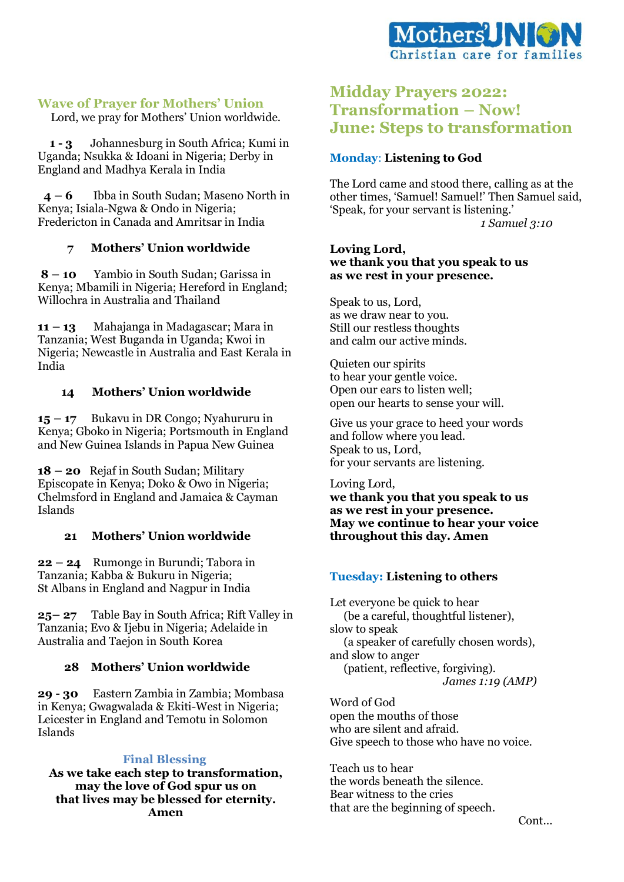

# **Wave of Prayer for Mothers' Union**

Lord, we pray for Mothers' Union worldwide.

 **1 - 3** Johannesburg in South Africa; Kumi in Uganda; Nsukka & Idoani in Nigeria; Derby in England and Madhya Kerala in India

 **4 – 6** Ibba in South Sudan; Maseno North in Kenya; Isiala-Ngwa & Ondo in Nigeria; Fredericton in Canada and Amritsar in India

## **7 Mothers' Union worldwide**

**8 – 10** Yambio in South Sudan; Garissa in Kenya; Mbamili in Nigeria; Hereford in England; Willochra in Australia and Thailand

**11 – 13** Mahajanga in Madagascar; Mara in Tanzania; West Buganda in Uganda; Kwoi in Nigeria; Newcastle in Australia and East Kerala in India

## **14 Mothers' Union worldwide**

**15 – 17** Bukavu in DR Congo; Nyahururu in Kenya; Gboko in Nigeria; Portsmouth in England and New Guinea Islands in Papua New Guinea

**18 – 20** Rejaf in South Sudan; Military Episcopate in Kenya; Doko & Owo in Nigeria; Chelmsford in England and Jamaica & Cayman Islands

## **21 Mothers' Union worldwide**

**22 – 24** Rumonge in Burundi; Tabora in Tanzania; Kabba & Bukuru in Nigeria; St Albans in England and Nagpur in India

**25– 27** Table Bay in South Africa; Rift Valley in Tanzania; Evo & Ijebu in Nigeria; Adelaide in Australia and Taejon in South Korea

## **28 Mothers' Union worldwide**

**29 - 30** Eastern Zambia in Zambia; Mombasa in Kenya; Gwagwalada & Ekiti-West in Nigeria; Leicester in England and Temotu in Solomon Islands

## **Final Blessing**

**As we take each step to transformation, may the love of God spur us on that lives may be blessed for eternity. Amen** 

# **Midday Prayers 2022: Transformation – Now! June: Steps to transformation**

## **Monday**: **Listening to God**

The Lord came and stood there, calling as at the other times, 'Samuel! Samuel!' Then Samuel said, 'Speak, for your servant is listening.'

*1 Samuel 3:10*

#### **Loving Lord, we thank you that you speak to us as we rest in your presence.**

Speak to us, Lord, as we draw near to you. Still our restless thoughts and calm our active minds.

Quieten our spirits to hear your gentle voice. Open our ears to listen well; open our hearts to sense your will.

Give us your grace to heed your words and follow where you lead. Speak to us, Lord, for your servants are listening.

Loving Lord, **we thank you that you speak to us as we rest in your presence. May we continue to hear your voice throughout this day. Amen**

## **Tuesday: Listening to others**

Let everyone be quick to hear (be a careful, thoughtful listener), slow to speak (a speaker of carefully chosen words), and slow to anger (patient, reflective, forgiving). *James 1:19 (AMP)*

Word of God open the mouths of those who are silent and afraid. Give speech to those who have no voice.

Teach us to hear the words beneath the silence. Bear witness to the cries that are the beginning of speech.

Cont…